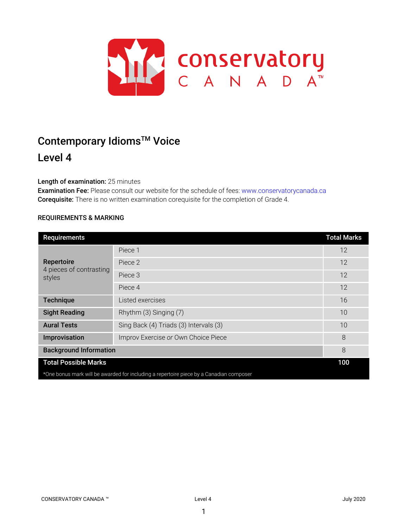

# Contemporary Idioms<sup>™</sup> Voice

# Level 4

# Length of examination: 25 minutes

Examination Fee: Please consult our website for the schedule of fees: www.conservatorycanada.ca Corequisite: There is no written examination corequisite for the completion of Grade 4.

# REQUIREMENTS & MARKING

| Requirements                                                                            |                                        | <b>Total Marks</b> |  |
|-----------------------------------------------------------------------------------------|----------------------------------------|--------------------|--|
| Repertoire<br>4 pieces of contrasting<br>styles                                         | Piece 1                                | 12                 |  |
|                                                                                         | Piece 2                                | 12                 |  |
|                                                                                         | Piece 3                                | 12                 |  |
|                                                                                         | Piece 4                                | 12                 |  |
| <b>Technique</b>                                                                        | Listed exercises                       | 16                 |  |
| <b>Sight Reading</b>                                                                    | Rhythm (3) Singing (7)                 | 10                 |  |
| <b>Aural Tests</b>                                                                      | Sing Back (4) Triads (3) Intervals (3) | 10                 |  |
| Improvisation                                                                           | Improv Exercise or Own Choice Piece    | 8                  |  |
| <b>Background Information</b>                                                           |                                        | 8                  |  |
| <b>Total Possible Marks</b>                                                             |                                        | 100                |  |
| *One bonus mark will be awarded for including a repertoire piece by a Canadian composer |                                        |                    |  |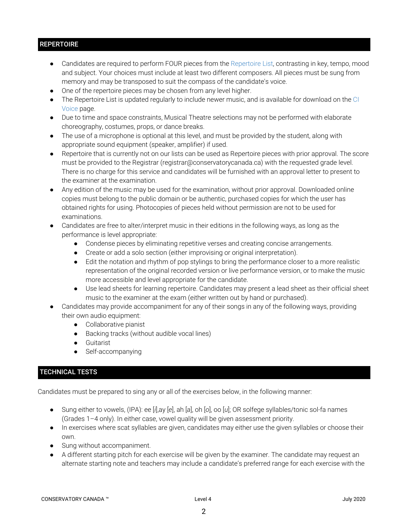# **REPERTOIRE**

- Candidates are required to perform FOUR pieces from the Repertoire List, contrasting in key, tempo, mood and subject. Your choices must include at least two different composers. All pieces must be sung from memory and may be transposed to suit the compass of the candidate's voice.
- One of the repertoire pieces may be chosen from any level higher.
- The Repertoire List is updated regularly to include newer music, and is available for download on the CI Voice page.
- Due to time and space constraints, Musical Theatre selections may not be performed with elaborate choreography, costumes, props, or dance breaks.
- The use of a microphone is optional at this level, and must be provided by the student, along with appropriate sound equipment (speaker, amplifier) if used.
- Repertoire that is currently not on our lists can be used as Repertoire pieces with prior approval. The score must be provided to the Registrar (registrar@conservatorycanada.ca) with the requested grade level. There is no charge for this service and candidates will be furnished with an approval letter to present to the examiner at the examination.
- Any edition of the music may be used for the examination, without prior approval. Downloaded online copies must belong to the public domain or be authentic, purchased copies for which the user has obtained rights for using. Photocopies of pieces held without permission are not to be used for examinations.
- Candidates are free to alter/interpret music in their editions in the following ways, as long as the performance is level appropriate:
	- Condense pieces by eliminating repetitive verses and creating concise arrangements.
	- Create or add a solo section (either improvising or original interpretation).
	- Edit the notation and rhythm of pop stylings to bring the performance closer to a more realistic representation of the original recorded version or live performance version, or to make the music more accessible and level appropriate for the candidate.
	- Use lead sheets for learning repertoire. Candidates may present a lead sheet as their official sheet music to the examiner at the exam (either written out by hand or purchased).
- Candidates may provide accompaniment for any of their songs in any of the following ways, providing their own audio equipment:
	- Collaborative pianist
	- Backing tracks (without audible vocal lines)
	- Guitarist
	- Self-accompanying

# TECHNICAL TESTS

Candidates must be prepared to sing any or all of the exercises below, in the following manner:

- Sung either to vowels, (IPA): ee [*i*],ay [*e*], ah [*a*], oh [*o*], oo [*u*]; OR solfege syllables/tonic sol-fa names (Grades 1–4 only). In either case, vowel quality will be given assessment priority.
- In exercises where scat syllables are given, candidates may either use the given syllables or choose their own.
- Sung without accompaniment.
- A different starting pitch for each exercise will be given by the examiner. The candidate may request an alternate starting note and teachers may include a candidate's preferred range for each exercise with the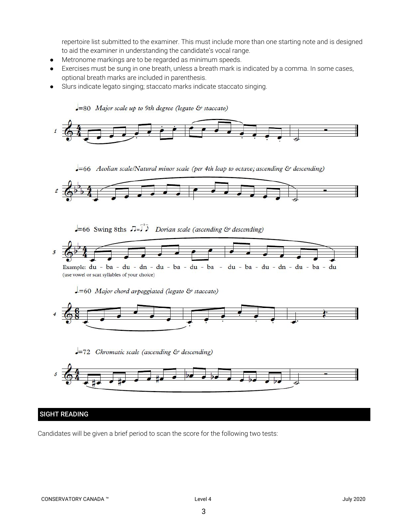repertoire list submitted to the examiner. This must include more than one starting note and is designed to aid the examiner in understanding the candidate's vocal range.

- Metronome markings are to be regarded as minimum speeds.
- Exercises must be sung in one breath, unless a breath mark is indicated by a comma. In some cases, optional breath marks are included in parenthesis.
- Slurs indicate legato singing; staccato marks indicate staccato singing.





#### SIGHT READING

Candidates will be given a brief period to scan the score for the following two tests: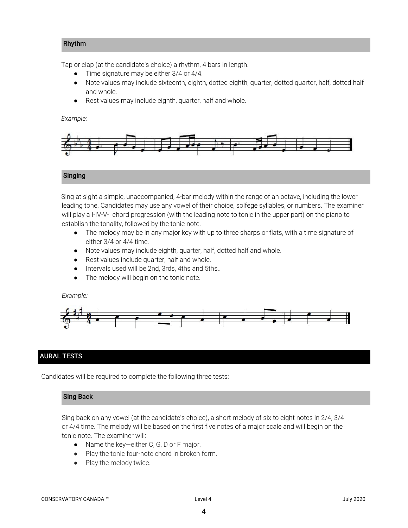#### Rhythm

Tap or clap (at the candidate's choice) a rhythm, 4 bars in length.

- Time signature may be either 3/4 or 4/4.
- Note values may include sixteenth, eighth, dotted eighth, quarter, dotted quarter, half, dotted half and whole.
- Rest values may include eighth, quarter, half and whole.

#### *Example:*



#### Singing

Sing at sight a simple, unaccompanied, 4-bar melody within the range of an octave, including the lower leading tone. Candidates may use any vowel of their choice, solfege syllables, or numbers. The examiner will play a I-IV-V-I chord progression (with the leading note to tonic in the upper part) on the piano to establish the tonality, followed by the tonic note.

- *●* The melody may be in any major key with up to three sharps or flats, with a time signature of either 3/4 or 4/4 time.
- Note values may include eighth, quarter, half, dotted half and whole.
- Rest values include quarter, half and whole.
- Intervals used will be 2nd, 3rds, 4ths and 5ths..
- The melody will begin on the tonic note.

#### *Example:*



# AURAL TESTS

Candidates will be required to complete the following three tests:

#### Sing Back

Sing back on any vowel (at the candidate's choice), a short melody of six to eight notes in 2/4, 3/4 or 4/4 time. The melody will be based on the first five notes of a major scale and will begin on the tonic note. The examiner will:

- Name the key—either C, G, D or F major.
- Play the tonic four-note chord in broken form.
- Play the melody twice.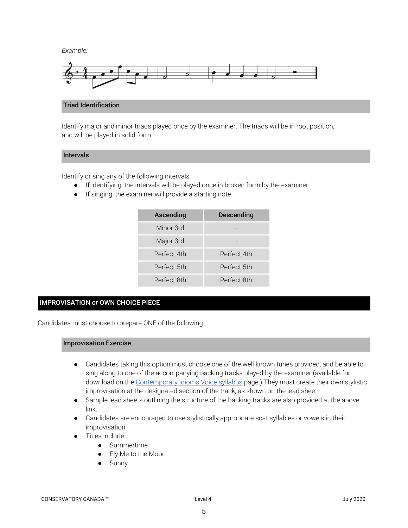*Example:*



#### Triad Identification

Identify major and minor triads played once by the examiner. The triads will be in root position, and will be played in solid form.

# Intervals

Identify or sing any of the following intervals

- If identifying, the intervals will be played once in broken form by the examiner.
- If singing, the examiner will provide a starting note.

| Ascending   | Descending  |
|-------------|-------------|
| Minor 3rd   |             |
| Major 3rd   |             |
| Perfect 4th | Perfect 4th |
| Perfect 5th | Perfect 5th |
| Perfect 8th | Perfect 8th |

# IMPROVISATION *or* OWN CHOICE PIECE

Candidates must choose to prepare ONE of the following:

#### Improvisation Exercise

- Candidates taking this option must choose one of the well known tunes provided, and be able to sing along to one of the accompanying backing tracks played by the examiner (available for download on the [Contemporary](https://conservatorycanada.ca/syllabi/contemporary-voice/) Idioms Voice syllabus page.) They must create their own stylistic improvisation at the designated section of the track, as shown on the lead sheet.
- Sample lead sheets outlining the structure of the backing tracks are also provided at the above link.
- Candidates are encouraged to use stylistically appropriate scat syllables or vowels in their improvisation.
- Titles include:
	- Summertime
	- Fly Me to the Moon
	- Sunny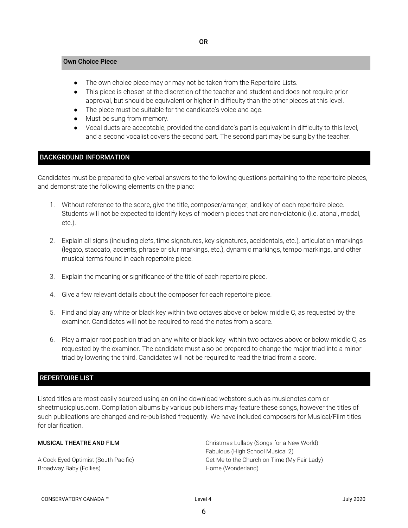#### Own Choice Piece

- The own choice piece may or may not be taken from the Repertoire Lists.
- This piece is chosen at the discretion of the teacher and student and does not require prior approval, but should be equivalent or higher in difficulty than the other pieces at this level.
- The piece must be suitable for the candidate's voice and age.
- Must be sung from memory.
- Vocal duets are acceptable, provided the candidate's part is equivalent in difficulty to this level, and a second vocalist covers the second part. The second part may be sung by the teacher.

### BACKGROUND INFORMATION

Candidates must be prepared to give verbal answers to the following questions pertaining to the repertoire pieces, and demonstrate the following elements on the piano:

- 1. Without reference to the score, give the title, composer/arranger, and key of each repertoire piece. Students will not be expected to identify keys of modern pieces that are non-diatonic (i.e. atonal, modal, etc.).
- 2. Explain all signs (including clefs, time signatures, key signatures, accidentals, etc.), articulation markings (legato, staccato, accents, phrase or slur markings, etc.), dynamic markings, tempo markings, and other musical terms found in each repertoire piece.
- 3. Explain the meaning or significance of the title of each repertoire piece.
- 4. Give a few relevant details about the composer for each repertoire piece.
- 5. Find and play any white or black key within two octaves above or below middle C, as requested by the examiner. Candidates will not be required to read the notes from a score.
- 6. Play a major root position triad on any white or black key within two octaves above or below middle C, as requested by the examiner. The candidate must also be prepared to change the major triad into a minor triad by lowering the third. Candidates will not be required to read the triad from a score.

# REPERTOIRE LIST

Listed titles are most easily sourced using an online download webstore such as musicnotes.com or sheetmusicplus.com. Compilation albums by various publishers may feature these songs, however the titles of such publications are changed and re-published frequently. We have included composers for Musical/Film titles for clarification.

#### MUSICAL THEATRE AND FILM

A Cock Eyed Optimist (South Pacific) Broadway Baby (Follies)

Christmas Lullaby (Songs for a New World) Fabulous (High School Musical 2) Get Me to the Church on Time (My Fair Lady) Home (Wonderland)